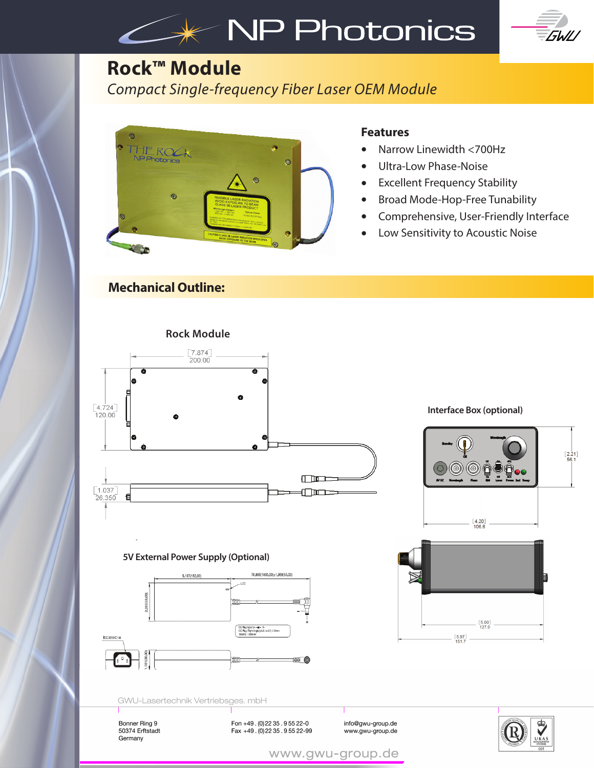



 $\begin{bmatrix} 2.21 \\ 56.1 \end{bmatrix}$ 

# **Rock™ Module**

*Compact Single-frequency Fiber Laser OEM Module*



### **Features**

- Narrow Linewidth <700Hz
- Ultra-Low Phase-Noise
- Excellent Frequency Stability
- Broad Mode-Hop-Free Tunability
- Comprehensive, User-Friendly Interface
- Low Sensitivity to Acoustic Noise

## **Mechanical Outline:**